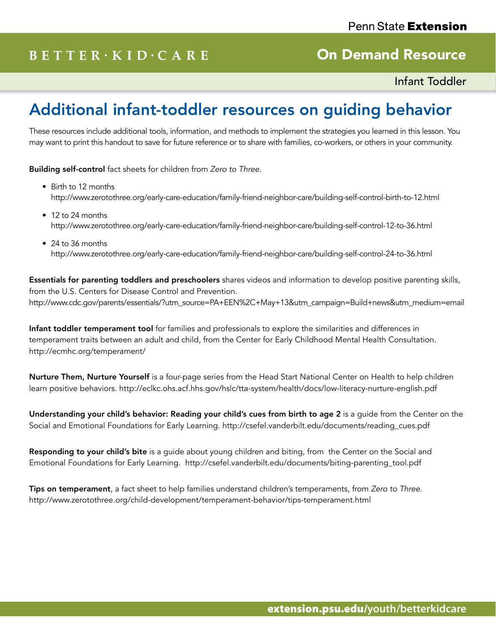## $B E T T E R \cdot K I D \cdot C A R E$

### On Demand Resource

Infant Toddler

# Additional infant-toddler resources on guiding behavior

These resources include additional tools, information, and methods to implement the strategies you learned in this lesson. You may want to print this handout to save for future reference or to share with families, co-workers, or others in your community.

Building self-control fact sheets for children from *Zero to Three*.

- Birth to 12 months http://www.zerotothree.org/early-care-education/family-friend-neighbor-care/building-self-control-birth-to-12.html
- 12 to 24 months http://www.zerotothree.org/early-care-education/family-friend-neighbor-care/building-self-control-12-to-36.html
- 24 to 36 months http://www.zerotothree.org/early-care-education/family-friend-neighbor-care/building-self-control-24-to-36.html

Essentials for parenting toddlers and preschoolers shares videos and information to develop positive parenting skills, from the U.S. Centers for Disease Control and Prevention. http://www.cdc.gov/parents/essentials/?utm\_source=PA+EEN%2C+May+13&utm\_campaign=Build+news&utm\_medium=email

Infant toddler temperament tool for families and professionals to explore the similarities and differences in temperament traits between an adult and child, from the Center for Early Childhood Mental Health Consultation. http://ecmhc.org/temperament/

Nurture Them, Nurture Yourself is a four-page series from the Head Start National Center on Health to help children learn positive behaviors. http://eclkc.ohs.acf.hhs.gov/hslc/tta-system/health/docs/low-literacy-nurture-english.pdf

Understanding your child's behavior: Reading your child's cues from birth to age 2 is a guide from the Center on the Social and Emotional Foundations for Early Learning. http://csefel.vanderbilt.edu/documents/reading\_cues.pdf

Responding to your child's bite is a quide about young children and biting, from the Center on the Social and Emotional Foundations for Early Learning. http://csefel.vanderbilt.edu/documents/biting-parenting\_tool.pdf

Tips on temperament, a fact sheet to help families understand children's temperaments, from *Zero to Three*. http://www.zerotothree.org/child-development/temperament-behavior/tips-temperament.html